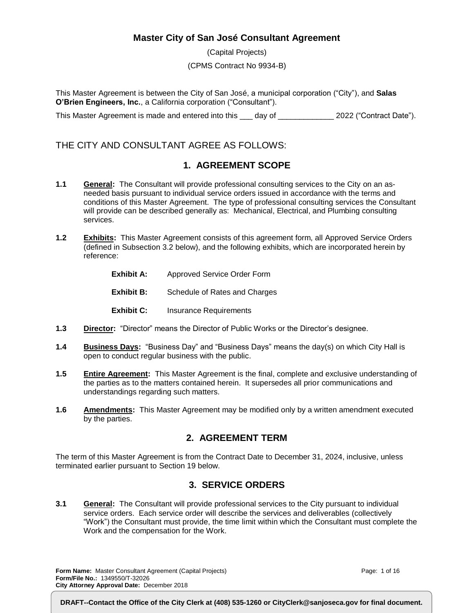#### **Master City of San José Consultant Agreement**

(Capital Projects) (CPMS Contract No 9934-B)

This Master Agreement is between the City of San José, a municipal corporation ("City"), and **Salas O'Brien Engineers, Inc.**, a California corporation ("Consultant").

This Master Agreement is made and entered into this \_\_\_ day of \_\_\_\_\_\_\_\_\_\_\_\_\_\_ 2022 ("Contract Date").

#### THE CITY AND CONSULTANT AGREE AS FOLLOWS:

#### **1. AGREEMENT SCOPE**

- **1.1 General:** The Consultant will provide professional consulting services to the City on an asneeded basis pursuant to individual service orders issued in accordance with the terms and conditions of this Master Agreement. The type of professional consulting services the Consultant will provide can be described generally as: Mechanical, Electrical, and Plumbing consulting services.
- **1.2 Exhibits:** This Master Agreement consists of this agreement form, all Approved Service Orders (defined in Subsection 3.2 below), and the following exhibits, which are incorporated herein by reference:
	- **Exhibit A:** Approved Service Order Form
	- **Exhibit B:** Schedule of Rates and Charges
	- **Exhibit C:** Insurance Requirements
- **1.3 Director:** "Director" means the Director of Public Works or the Director's designee.
- **1.4 Business Days:** "Business Day" and "Business Days" means the day(s) on which City Hall is open to conduct regular business with the public.
- **1.5 Entire Agreement:** This Master Agreement is the final, complete and exclusive understanding of the parties as to the matters contained herein. It supersedes all prior communications and understandings regarding such matters.
- **1.6 Amendments:** This Master Agreement may be modified only by a written amendment executed by the parties.

#### **2. AGREEMENT TERM**

The term of this Master Agreement is from the Contract Date to December 31, 2024, inclusive, unless terminated earlier pursuant to Section 19 below.

#### **3. SERVICE ORDERS**

**3.1 General:** The Consultant will provide professional services to the City pursuant to individual service orders. Each service order will describe the services and deliverables (collectively "Work") the Consultant must provide, the time limit within which the Consultant must complete the Work and the compensation for the Work.

**Form Name:** Master Consultant Agreement (Capital Projects) **Form/File No.:** 1349550/T-32026 **City Attorney Approval Date:** December 2018

Page: 1 of 16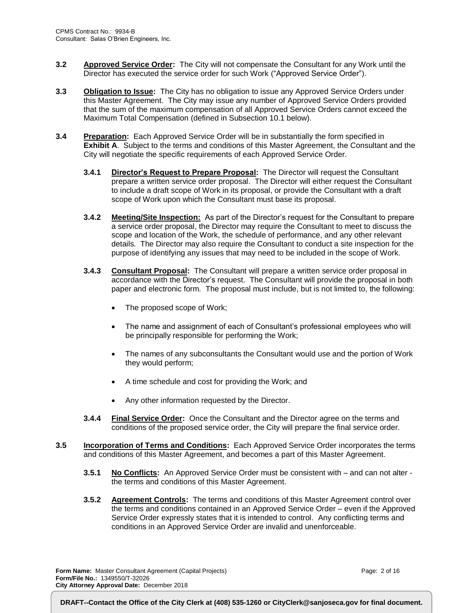- **3.2 Approved Service Order:** The City will not compensate the Consultant for any Work until the Director has executed the service order for such Work ("Approved Service Order").
- **3.3 Obligation to Issue:** The City has no obligation to issue any Approved Service Orders under this Master Agreement. The City may issue any number of Approved Service Orders provided that the sum of the maximum compensation of all Approved Service Orders cannot exceed the Maximum Total Compensation (defined in Subsection 10.1 below).
- **3.4 Preparation:** Each Approved Service Order will be in substantially the form specified in **Exhibit A**. Subject to the terms and conditions of this Master Agreement, the Consultant and the City will negotiate the specific requirements of each Approved Service Order.
	- **3.4.1 Director's Request to Prepare Proposal:** The Director will request the Consultant prepare a written service order proposal. The Director will either request the Consultant to include a draft scope of Work in its proposal, or provide the Consultant with a draft scope of Work upon which the Consultant must base its proposal.
	- **3.4.2 Meeting/Site Inspection:** As part of the Director's request for the Consultant to prepare a service order proposal, the Director may require the Consultant to meet to discuss the scope and location of the Work, the schedule of performance, and any other relevant details. The Director may also require the Consultant to conduct a site inspection for the purpose of identifying any issues that may need to be included in the scope of Work.
	- **3.4.3 Consultant Proposal:** The Consultant will prepare a written service order proposal in accordance with the Director's request. The Consultant will provide the proposal in both paper and electronic form. The proposal must include, but is not limited to, the following:
		- The proposed scope of Work;
		- The name and assignment of each of Consultant's professional employees who will be principally responsible for performing the Work;
		- The names of any subconsultants the Consultant would use and the portion of Work they would perform;
		- A time schedule and cost for providing the Work; and
		- Any other information requested by the Director.
	- **3.4.4 Final Service Order:** Once the Consultant and the Director agree on the terms and conditions of the proposed service order, the City will prepare the final service order.
- **3.5 Incorporation of Terms and Conditions:** Each Approved Service Order incorporates the terms and conditions of this Master Agreement, and becomes a part of this Master Agreement.
	- **3.5.1 No Conflicts:** An Approved Service Order must be consistent with and can not alter the terms and conditions of this Master Agreement.
	- **3.5.2 Agreement Controls:** The terms and conditions of this Master Agreement control over the terms and conditions contained in an Approved Service Order – even if the Approved Service Order expressly states that it is intended to control. Any conflicting terms and conditions in an Approved Service Order are invalid and unenforceable.

**Form Name:** Master Consultant Agreement (Capital Projects) **Form/File No.:** 1349550/T-32026 **City Attorney Approval Date:** December 2018

Page: 2 of 16

**DRAFT--Contact the Office of the City Clerk at (408) 535-1260 or CityClerk@sanjoseca.gov for final document.**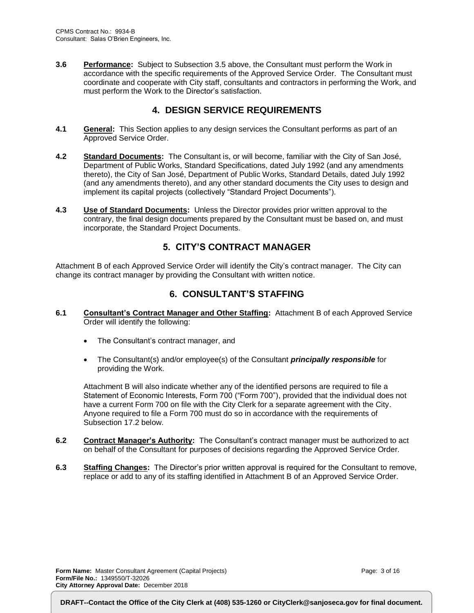**3.6 Performance:** Subject to Subsection 3.5 above, the Consultant must perform the Work in accordance with the specific requirements of the Approved Service Order. The Consultant must coordinate and cooperate with City staff, consultants and contractors in performing the Work, and must perform the Work to the Director's satisfaction.

#### **4. DESIGN SERVICE REQUIREMENTS**

- **4.1 General:** This Section applies to any design services the Consultant performs as part of an Approved Service Order.
- **4.2 Standard Documents:** The Consultant is, or will become, familiar with the City of San José, Department of Public Works, Standard Specifications, dated July 1992 (and any amendments thereto), the City of San José, Department of Public Works, Standard Details, dated July 1992 (and any amendments thereto), and any other standard documents the City uses to design and implement its capital projects (collectively "Standard Project Documents").
- **4.3 Use of Standard Documents:** Unless the Director provides prior written approval to the contrary, the final design documents prepared by the Consultant must be based on, and must incorporate, the Standard Project Documents.

#### **5. CITY'S CONTRACT MANAGER**

Attachment B of each Approved Service Order will identify the City's contract manager. The City can change its contract manager by providing the Consultant with written notice.

#### **6. CONSULTANT'S STAFFING**

- **6.1 Consultant's Contract Manager and Other Staffing:** Attachment B of each Approved Service Order will identify the following:
	- The Consultant's contract manager, and
	- The Consultant(s) and/or employee(s) of the Consultant *principally responsible* for providing the Work.

Attachment B will also indicate whether any of the identified persons are required to file a Statement of Economic Interests, Form 700 ("Form 700"), provided that the individual does not have a current Form 700 on file with the City Clerk for a separate agreement with the City. Anyone required to file a Form 700 must do so in accordance with the requirements of Subsection 17.2 below.

- **6.2 Contract Manager's Authority:** The Consultant's contract manager must be authorized to act on behalf of the Consultant for purposes of decisions regarding the Approved Service Order.
- **6.3 Staffing Changes:** The Director's prior written approval is required for the Consultant to remove, replace or add to any of its staffing identified in Attachment B of an Approved Service Order.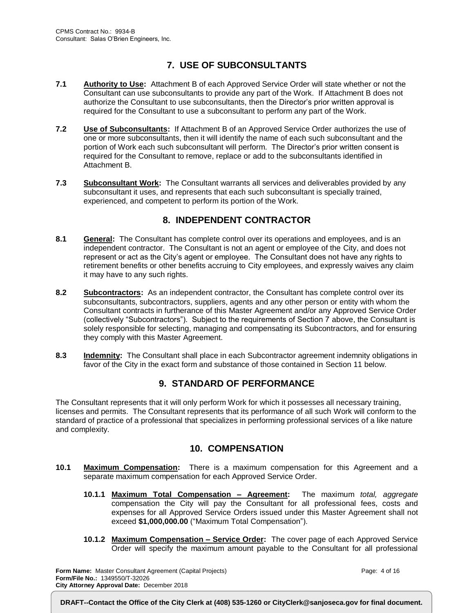### **7. USE OF SUBCONSULTANTS**

- **7.1 Authority to Use:** Attachment B of each Approved Service Order will state whether or not the Consultant can use subconsultants to provide any part of the Work. If Attachment B does not authorize the Consultant to use subconsultants, then the Director's prior written approval is required for the Consultant to use a subconsultant to perform any part of the Work.
- **7.2 Use of Subconsultants:** If Attachment B of an Approved Service Order authorizes the use of one or more subconsultants, then it will identify the name of each such subconsultant and the portion of Work each such subconsultant will perform. The Director's prior written consent is required for the Consultant to remove, replace or add to the subconsultants identified in Attachment B.
- **7.3 Subconsultant Work:** The Consultant warrants all services and deliverables provided by any subconsultant it uses, and represents that each such subconsultant is specially trained, experienced, and competent to perform its portion of the Work.

#### **8. INDEPENDENT CONTRACTOR**

- **8.1 General:** The Consultant has complete control over its operations and employees, and is an independent contractor. The Consultant is not an agent or employee of the City, and does not represent or act as the City's agent or employee. The Consultant does not have any rights to retirement benefits or other benefits accruing to City employees, and expressly waives any claim it may have to any such rights.
- **8.2 Subcontractors:** As an independent contractor, the Consultant has complete control over its subconsultants, subcontractors, suppliers, agents and any other person or entity with whom the Consultant contracts in furtherance of this Master Agreement and/or any Approved Service Order (collectively "Subcontractors"). Subject to the requirements of Section 7 above, the Consultant is solely responsible for selecting, managing and compensating its Subcontractors, and for ensuring they comply with this Master Agreement.
- **8.3 Indemnity:** The Consultant shall place in each Subcontractor agreement indemnity obligations in favor of the City in the exact form and substance of those contained in Section 11 below.

#### **9. STANDARD OF PERFORMANCE**

The Consultant represents that it will only perform Work for which it possesses all necessary training, licenses and permits. The Consultant represents that its performance of all such Work will conform to the standard of practice of a professional that specializes in performing professional services of a like nature and complexity.

#### **10. COMPENSATION**

- **10.1 Maximum Compensation:** There is a maximum compensation for this Agreement and a separate maximum compensation for each Approved Service Order.
	- **10.1.1 Maximum Total Compensation – Agreement:** The maximum *total, aggregate* compensation the City will pay the Consultant for all professional fees, costs and expenses for all Approved Service Orders issued under this Master Agreement shall not exceed **\$1,000,000.00** ("Maximum Total Compensation").
	- **10.1.2 Maximum Compensation – Service Order:** The cover page of each Approved Service Order will specify the maximum amount payable to the Consultant for all professional

**Form Name:** Master Consultant Agreement (Capital Projects) **Form/File No.:** 1349550/T-32026 **City Attorney Approval Date:** December 2018

Page: 4 of 16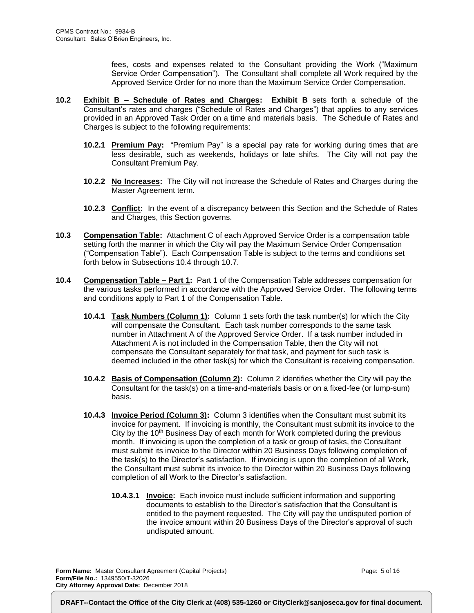fees, costs and expenses related to the Consultant providing the Work ("Maximum Service Order Compensation"). The Consultant shall complete all Work required by the Approved Service Order for no more than the Maximum Service Order Compensation.

- **10.2 Exhibit B – Schedule of Rates and Charges: Exhibit B** sets forth a schedule of the Consultant's rates and charges ("Schedule of Rates and Charges") that applies to any services provided in an Approved Task Order on a time and materials basis. The Schedule of Rates and Charges is subject to the following requirements:
	- **10.2.1 Premium Pay:** "Premium Pay" is a special pay rate for working during times that are less desirable, such as weekends, holidays or late shifts. The City will not pay the Consultant Premium Pay.
	- **10.2.2 No Increases:** The City will not increase the Schedule of Rates and Charges during the Master Agreement term.
	- **10.2.3 Conflict:** In the event of a discrepancy between this Section and the Schedule of Rates and Charges, this Section governs.
- **10.3 Compensation Table:** Attachment C of each Approved Service Order is a compensation table setting forth the manner in which the City will pay the Maximum Service Order Compensation ("Compensation Table"). Each Compensation Table is subject to the terms and conditions set forth below in Subsections 10.4 through 10.7.
- **10.4 Compensation Table – Part 1:** Part 1 of the Compensation Table addresses compensation for the various tasks performed in accordance with the Approved Service Order. The following terms and conditions apply to Part 1 of the Compensation Table.
	- **10.4.1 Task Numbers (Column 1):** Column 1 sets forth the task number(s) for which the City will compensate the Consultant. Each task number corresponds to the same task number in Attachment A of the Approved Service Order. If a task number included in Attachment A is not included in the Compensation Table, then the City will not compensate the Consultant separately for that task, and payment for such task is deemed included in the other task(s) for which the Consultant is receiving compensation.
	- **10.4.2 Basis of Compensation (Column 2):** Column 2 identifies whether the City will pay the Consultant for the task(s) on a time-and-materials basis or on a fixed-fee (or lump-sum) basis.
	- **10.4.3 Invoice Period (Column 3):** Column 3 identifies when the Consultant must submit its invoice for payment. If invoicing is monthly, the Consultant must submit its invoice to the City by the  $10<sup>th</sup>$  Business Day of each month for Work completed during the previous month. If invoicing is upon the completion of a task or group of tasks, the Consultant must submit its invoice to the Director within 20 Business Days following completion of the task(s) to the Director's satisfaction. If invoicing is upon the completion of all Work, the Consultant must submit its invoice to the Director within 20 Business Days following completion of all Work to the Director's satisfaction.
		- **10.4.3.1 Invoice:** Each invoice must include sufficient information and supporting documents to establish to the Director's satisfaction that the Consultant is entitled to the payment requested. The City will pay the undisputed portion of the invoice amount within 20 Business Days of the Director's approval of such undisputed amount.

**Form Name:** Master Consultant Agreement (Capital Projects) **Form/File No.:** 1349550/T-32026 **City Attorney Approval Date:** December 2018

Page: 5 of 16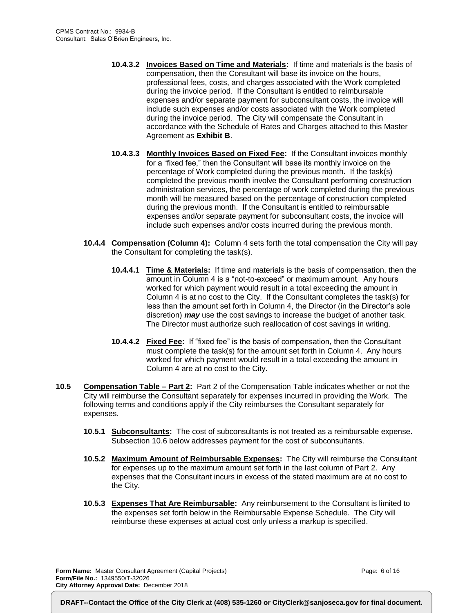- **10.4.3.2 Invoices Based on Time and Materials:** If time and materials is the basis of compensation, then the Consultant will base its invoice on the hours, professional fees, costs, and charges associated with the Work completed during the invoice period. If the Consultant is entitled to reimbursable expenses and/or separate payment for subconsultant costs, the invoice will include such expenses and/or costs associated with the Work completed during the invoice period. The City will compensate the Consultant in accordance with the Schedule of Rates and Charges attached to this Master Agreement as **Exhibit B**.
- **10.4.3.3 Monthly Invoices Based on Fixed Fee:** If the Consultant invoices monthly for a "fixed fee," then the Consultant will base its monthly invoice on the percentage of Work completed during the previous month. If the task(s) completed the previous month involve the Consultant performing construction administration services, the percentage of work completed during the previous month will be measured based on the percentage of construction completed during the previous month. If the Consultant is entitled to reimbursable expenses and/or separate payment for subconsultant costs, the invoice will include such expenses and/or costs incurred during the previous month.
- **10.4.4 Compensation (Column 4):** Column 4 sets forth the total compensation the City will pay the Consultant for completing the task(s).
	- **10.4.4.1 Time & Materials:** If time and materials is the basis of compensation, then the amount in Column 4 is a "not-to-exceed" or maximum amount. Any hours worked for which payment would result in a total exceeding the amount in Column 4 is at no cost to the City. If the Consultant completes the task(s) for less than the amount set forth in Column 4, the Director (in the Director's sole discretion) *may* use the cost savings to increase the budget of another task. The Director must authorize such reallocation of cost savings in writing.
	- **10.4.4.2 Fixed Fee:** If "fixed fee" is the basis of compensation, then the Consultant must complete the task(s) for the amount set forth in Column 4. Any hours worked for which payment would result in a total exceeding the amount in Column 4 are at no cost to the City.
- **10.5 Compensation Table – Part 2:** Part 2 of the Compensation Table indicates whether or not the City will reimburse the Consultant separately for expenses incurred in providing the Work. The following terms and conditions apply if the City reimburses the Consultant separately for expenses.
	- **10.5.1 Subconsultants:** The cost of subconsultants is not treated as a reimbursable expense. Subsection 10.6 below addresses payment for the cost of subconsultants.
	- **10.5.2 Maximum Amount of Reimbursable Expenses:** The City will reimburse the Consultant for expenses up to the maximum amount set forth in the last column of Part 2. Any expenses that the Consultant incurs in excess of the stated maximum are at no cost to the City.
	- **10.5.3 Expenses That Are Reimbursable:** Any reimbursement to the Consultant is limited to the expenses set forth below in the Reimbursable Expense Schedule. The City will reimburse these expenses at actual cost only unless a markup is specified.

**Form Name:** Master Consultant Agreement (Capital Projects) **Form/File No.:** 1349550/T-32026 **City Attorney Approval Date:** December 2018

Page: 6 of 16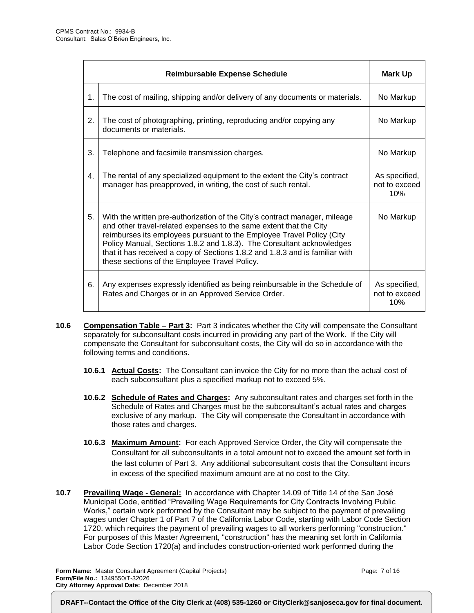|                  | <b>Reimbursable Expense Schedule</b>                                                                                                                                                                                                                                                                                                                                                                                                | Mark Up                               |
|------------------|-------------------------------------------------------------------------------------------------------------------------------------------------------------------------------------------------------------------------------------------------------------------------------------------------------------------------------------------------------------------------------------------------------------------------------------|---------------------------------------|
| $\mathbf 1$ .    | The cost of mailing, shipping and/or delivery of any documents or materials.                                                                                                                                                                                                                                                                                                                                                        | No Markup                             |
| 2.               | The cost of photographing, printing, reproducing and/or copying any<br>documents or materials.                                                                                                                                                                                                                                                                                                                                      | No Markup                             |
| 3.               | Telephone and facsimile transmission charges.                                                                                                                                                                                                                                                                                                                                                                                       | No Markup                             |
| $\overline{4}$ . | The rental of any specialized equipment to the extent the City's contract<br>manager has preapproved, in writing, the cost of such rental.                                                                                                                                                                                                                                                                                          | As specified,<br>not to exceed<br>10% |
| 5.               | With the written pre-authorization of the City's contract manager, mileage<br>and other travel-related expenses to the same extent that the City<br>reimburses its employees pursuant to the Employee Travel Policy (City<br>Policy Manual, Sections 1.8.2 and 1.8.3). The Consultant acknowledges<br>that it has received a copy of Sections 1.8.2 and 1.8.3 and is familiar with<br>these sections of the Employee Travel Policy. | No Markup                             |
| 6.               | Any expenses expressly identified as being reimbursable in the Schedule of<br>Rates and Charges or in an Approved Service Order.                                                                                                                                                                                                                                                                                                    | As specified,<br>not to exceed<br>10% |

- **10.6 Compensation Table – Part 3:** Part 3 indicates whether the City will compensate the Consultant separately for subconsultant costs incurred in providing any part of the Work. If the City will compensate the Consultant for subconsultant costs, the City will do so in accordance with the following terms and conditions.
	- **10.6.1 Actual Costs:** The Consultant can invoice the City for no more than the actual cost of each subconsultant plus a specified markup not to exceed 5%.
	- **10.6.2 Schedule of Rates and Charges:** Any subconsultant rates and charges set forth in the Schedule of Rates and Charges must be the subconsultant's actual rates and charges exclusive of any markup. The City will compensate the Consultant in accordance with those rates and charges.
	- **10.6.3 Maximum Amount:** For each Approved Service Order, the City will compensate the Consultant for all subconsultants in a total amount not to exceed the amount set forth in the last column of Part 3. Any additional subconsultant costs that the Consultant incurs in excess of the specified maximum amount are at no cost to the City.
- **10.7 Prevailing Wage - General:** In accordance with Chapter 14.09 of Title 14 of the San José Municipal Code, entitled "Prevailing Wage Requirements for City Contracts Involving Public Works," certain work performed by the Consultant may be subject to the payment of prevailing wages under Chapter 1 of Part 7 of the California Labor Code, starting with Labor Code Section 1720. which requires the payment of prevailing wages to all workers performing "construction." For purposes of this Master Agreement, "construction" has the meaning set forth in California Labor Code Section 1720(a) and includes construction-oriented work performed during the

**Form Name:** Master Consultant Agreement (Capital Projects) **Form/File No.:** 1349550/T-32026 **City Attorney Approval Date:** December 2018

Page: 7 of 16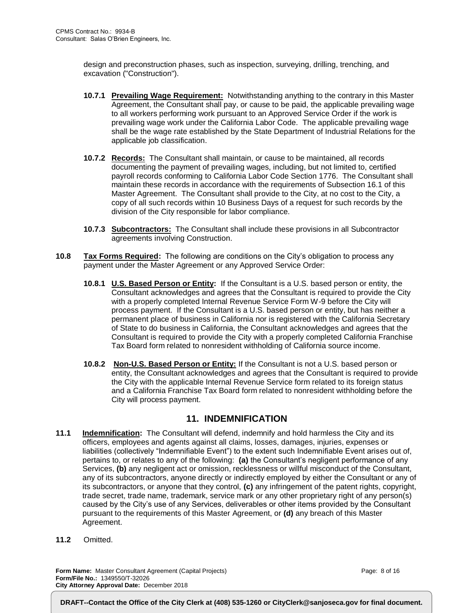design and preconstruction phases, such as inspection, surveying, drilling, trenching, and excavation ("Construction").

- **10.7.1 Prevailing Wage Requirement:** Notwithstanding anything to the contrary in this Master Agreement, the Consultant shall pay, or cause to be paid, the applicable prevailing wage to all workers performing work pursuant to an Approved Service Order if the work is prevailing wage work under the California Labor Code. The applicable prevailing wage shall be the wage rate established by the State Department of Industrial Relations for the applicable job classification.
- **10.7.2 Records:** The Consultant shall maintain, or cause to be maintained, all records documenting the payment of prevailing wages, including, but not limited to, certified payroll records conforming to California Labor Code Section 1776. The Consultant shall maintain these records in accordance with the requirements of Subsection 16.1 of this Master Agreement. The Consultant shall provide to the City, at no cost to the City, a copy of all such records within 10 Business Days of a request for such records by the division of the City responsible for labor compliance.
- **10.7.3 Subcontractors:** The Consultant shall include these provisions in all Subcontractor agreements involving Construction.
- **10.8 Tax Forms Required:** The following are conditions on the City's obligation to process any payment under the Master Agreement or any Approved Service Order:
	- **10.8.1 U.S. Based Person or Entity:** If the Consultant is a U.S. based person or entity, the Consultant acknowledges and agrees that the Consultant is required to provide the City with a properly completed Internal Revenue Service Form W-9 before the City will process payment. If the Consultant is a U.S. based person or entity, but has neither a permanent place of business in California nor is registered with the California Secretary of State to do business in California, the Consultant acknowledges and agrees that the Consultant is required to provide the City with a properly completed California Franchise Tax Board form related to nonresident withholding of California source income.
	- **10.8.2 Non-U.S. Based Person or Entity:** If the Consultant is not a U.S. based person or entity, the Consultant acknowledges and agrees that the Consultant is required to provide the City with the applicable Internal Revenue Service form related to its foreign status and a California Franchise Tax Board form related to nonresident withholding before the City will process payment.

#### **11. INDEMNIFICATION**

- **11.1 Indemnification:** The Consultant will defend, indemnify and hold harmless the City and its officers, employees and agents against all claims, losses, damages, injuries, expenses or liabilities (collectively "Indemnifiable Event") to the extent such Indemnifiable Event arises out of, pertains to, or relates to any of the following: **(a)** the Consultant's negligent performance of any Services, **(b)** any negligent act or omission, recklessness or willful misconduct of the Consultant, any of its subcontractors, anyone directly or indirectly employed by either the Consultant or any of its subcontractors, or anyone that they control, **(c)** any infringement of the patent rights, copyright, trade secret, trade name, trademark, service mark or any other proprietary right of any person(s) caused by the City's use of any Services, deliverables or other items provided by the Consultant pursuant to the requirements of this Master Agreement, or **(d)** any breach of this Master Agreement.
- **11.2** Omitted.

**Form Name:** Master Consultant Agreement (Capital Projects) **Form/File No.:** 1349550/T-32026 **City Attorney Approval Date:** December 2018

Page: 8 of 16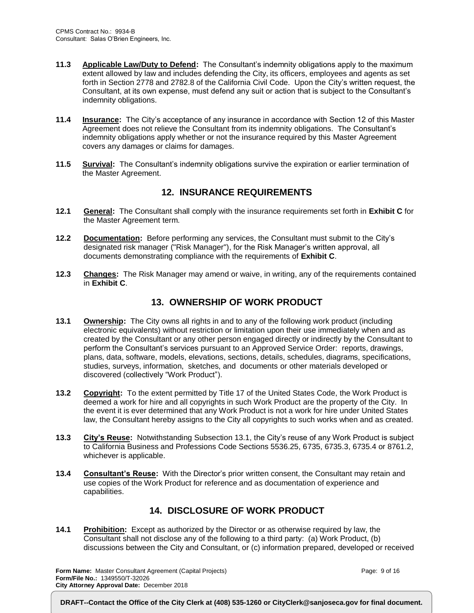- **11.3 Applicable Law/Duty to Defend:** The Consultant's indemnity obligations apply to the maximum extent allowed by law and includes defending the City, its officers, employees and agents as set forth in Section 2778 and 2782.8 of the California Civil Code. Upon the City's written request, the Consultant, at its own expense, must defend any suit or action that is subject to the Consultant's indemnity obligations.
- **11.4 Insurance:** The City's acceptance of any insurance in accordance with Section 12 of this Master Agreement does not relieve the Consultant from its indemnity obligations. The Consultant's indemnity obligations apply whether or not the insurance required by this Master Agreement covers any damages or claims for damages.
- **11.5 Survival:** The Consultant's indemnity obligations survive the expiration or earlier termination of the Master Agreement.

#### **12. INSURANCE REQUIREMENTS**

- **12.1 General:** The Consultant shall comply with the insurance requirements set forth in **Exhibit C** for the Master Agreement term.
- **12.2 Documentation:** Before performing any services, the Consultant must submit to the City's designated risk manager ("Risk Manager"), for the Risk Manager's written approval, all documents demonstrating compliance with the requirements of **Exhibit C**.
- **12.3 Changes:** The Risk Manager may amend or waive, in writing, any of the requirements contained in **Exhibit C**.

#### **13. OWNERSHIP OF WORK PRODUCT**

- **13.1 Ownership:** The City owns all rights in and to any of the following work product (including electronic equivalents) without restriction or limitation upon their use immediately when and as created by the Consultant or any other person engaged directly or indirectly by the Consultant to perform the Consultant's services pursuant to an Approved Service Order: reports, drawings, plans, data, software, models, elevations, sections, details, schedules, diagrams, specifications, studies, surveys, information, sketches, and documents or other materials developed or discovered (collectively "Work Product").
- **13.2 Copyright:** To the extent permitted by Title 17 of the United States Code, the Work Product is deemed a work for hire and all copyrights in such Work Product are the property of the City. In the event it is ever determined that any Work Product is not a work for hire under United States law, the Consultant hereby assigns to the City all copyrights to such works when and as created.
- **13.3 City's Reuse:** Notwithstanding Subsection 13.1, the City's reuse of any Work Product is subject to California Business and Professions Code Sections 5536.25, 6735, 6735.3, 6735.4 or 8761.2, whichever is applicable.
- **13.4 Consultant's Reuse:** With the Director's prior written consent, the Consultant may retain and use copies of the Work Product for reference and as documentation of experience and capabilities.

#### **14. DISCLOSURE OF WORK PRODUCT**

**14.1 Prohibition:** Except as authorized by the Director or as otherwise required by law, the Consultant shall not disclose any of the following to a third party: (a) Work Product, (b) discussions between the City and Consultant, or (c) information prepared, developed or received

**Form Name:** Master Consultant Agreement (Capital Projects) **Form/File No.:** 1349550/T-32026 **City Attorney Approval Date:** December 2018

Page: 9 of 16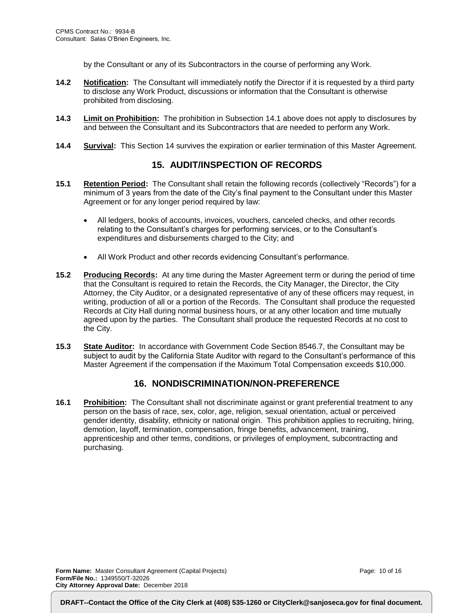by the Consultant or any of its Subcontractors in the course of performing any Work.

- **14.2 Notification:** The Consultant will immediately notify the Director if it is requested by a third party to disclose any Work Product, discussions or information that the Consultant is otherwise prohibited from disclosing.
- **14.3 Limit on Prohibition:** The prohibition in Subsection 14.1 above does not apply to disclosures by and between the Consultant and its Subcontractors that are needed to perform any Work.
- **14.4 Survival:** This Section 14 survives the expiration or earlier termination of this Master Agreement.

#### **15. AUDIT/INSPECTION OF RECORDS**

- **15.1 Retention Period:** The Consultant shall retain the following records (collectively "Records") for a minimum of 3 years from the date of the City's final payment to the Consultant under this Master Agreement or for any longer period required by law:
	- All ledgers, books of accounts, invoices, vouchers, canceled checks, and other records relating to the Consultant's charges for performing services, or to the Consultant's expenditures and disbursements charged to the City; and
	- All Work Product and other records evidencing Consultant's performance.
- **15.2 Producing Records:** At any time during the Master Agreement term or during the period of time that the Consultant is required to retain the Records, the City Manager, the Director, the City Attorney, the City Auditor, or a designated representative of any of these officers may request, in writing, production of all or a portion of the Records. The Consultant shall produce the requested Records at City Hall during normal business hours, or at any other location and time mutually agreed upon by the parties. The Consultant shall produce the requested Records at no cost to the City.
- **15.3 State Auditor:** In accordance with Government Code Section 8546.7, the Consultant may be subject to audit by the California State Auditor with regard to the Consultant's performance of this Master Agreement if the compensation if the Maximum Total Compensation exceeds \$10,000.

#### **16. NONDISCRIMINATION/NON-PREFERENCE**

**16.1 Prohibition:** The Consultant shall not discriminate against or grant preferential treatment to any person on the basis of race, sex, color, age, religion, sexual orientation, actual or perceived gender identity, disability, ethnicity or national origin. This prohibition applies to recruiting, hiring, demotion, layoff, termination, compensation, fringe benefits, advancement, training, apprenticeship and other terms, conditions, or privileges of employment, subcontracting and purchasing.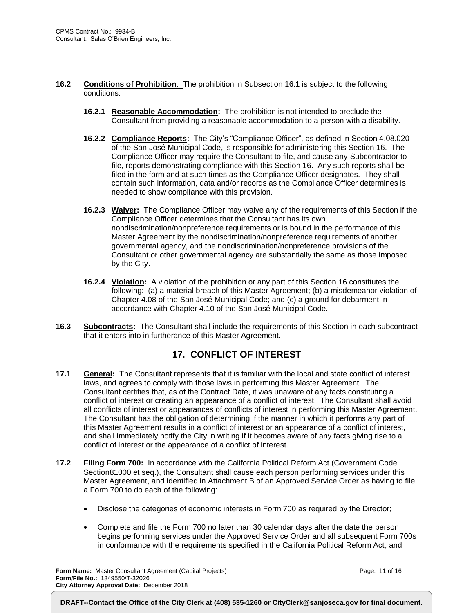- **16.2 Conditions of Prohibition**: The prohibition in Subsection 16.1 is subject to the following conditions:
	- **16.2.1 Reasonable Accommodation:** The prohibition is not intended to preclude the Consultant from providing a reasonable accommodation to a person with a disability.
	- **16.2.2 Compliance Reports:** The City's "Compliance Officer", as defined in Section 4.08.020 of the San José Municipal Code, is responsible for administering this Section 16. The Compliance Officer may require the Consultant to file, and cause any Subcontractor to file, reports demonstrating compliance with this Section 16. Any such reports shall be filed in the form and at such times as the Compliance Officer designates. They shall contain such information, data and/or records as the Compliance Officer determines is needed to show compliance with this provision.
	- **16.2.3 Waiver:** The Compliance Officer may waive any of the requirements of this Section if the Compliance Officer determines that the Consultant has its own nondiscrimination/nonpreference requirements or is bound in the performance of this Master Agreement by the nondiscrimination/nonpreference requirements of another governmental agency, and the nondiscrimination/nonpreference provisions of the Consultant or other governmental agency are substantially the same as those imposed by the City.
	- **16.2.4 Violation:** A violation of the prohibition or any part of this Section 16 constitutes the following: (a) a material breach of this Master Agreement; (b) a misdemeanor violation of Chapter 4.08 of the San José Municipal Code; and (c) a ground for debarment in accordance with Chapter 4.10 of the San José Municipal Code.
- **16.3 Subcontracts:** The Consultant shall include the requirements of this Section in each subcontract that it enters into in furtherance of this Master Agreement.

#### **17. CONFLICT OF INTEREST**

- **17.1 General:** The Consultant represents that it is familiar with the local and state conflict of interest laws, and agrees to comply with those laws in performing this Master Agreement. The Consultant certifies that, as of the Contract Date, it was unaware of any facts constituting a conflict of interest or creating an appearance of a conflict of interest. The Consultant shall avoid all conflicts of interest or appearances of conflicts of interest in performing this Master Agreement. The Consultant has the obligation of determining if the manner in which it performs any part of this Master Agreement results in a conflict of interest or an appearance of a conflict of interest, and shall immediately notify the City in writing if it becomes aware of any facts giving rise to a conflict of interest or the appearance of a conflict of interest.
- **17.2 Filing Form 700:** In accordance with the California Political Reform Act (Government Code Section81000 et seq.), the Consultant shall cause each person performing services under this Master Agreement, and identified in Attachment B of an Approved Service Order as having to file a Form 700 to do each of the following:
	- Disclose the categories of economic interests in Form 700 as required by the Director;
	- Complete and file the Form 700 no later than 30 calendar days after the date the person begins performing services under the Approved Service Order and all subsequent Form 700s in conformance with the requirements specified in the California Political Reform Act; and

**Form Name:** Master Consultant Agreement (Capital Projects) **Form/File No.:** 1349550/T-32026 **City Attorney Approval Date:** December 2018

Page: 11 of 16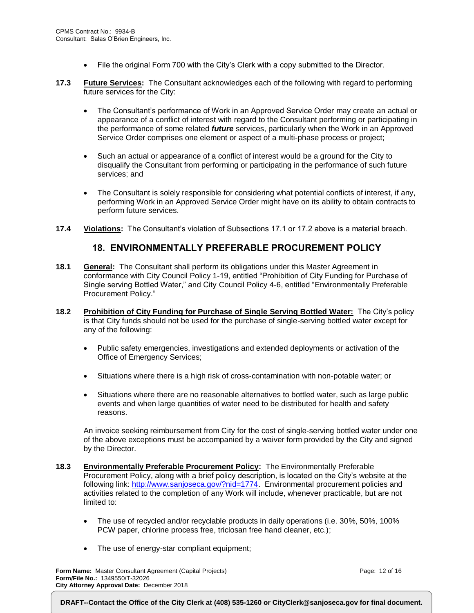- File the original Form 700 with the City's Clerk with a copy submitted to the Director.
- **17.3 Future Services:** The Consultant acknowledges each of the following with regard to performing future services for the City:
	- The Consultant's performance of Work in an Approved Service Order may create an actual or appearance of a conflict of interest with regard to the Consultant performing or participating in the performance of some related *future* services, particularly when the Work in an Approved Service Order comprises one element or aspect of a multi-phase process or project;
	- Such an actual or appearance of a conflict of interest would be a ground for the City to disqualify the Consultant from performing or participating in the performance of such future services; and
	- The Consultant is solely responsible for considering what potential conflicts of interest, if any, performing Work in an Approved Service Order might have on its ability to obtain contracts to perform future services.
- **17.4 Violations:** The Consultant's violation of Subsections 17.1 or 17.2 above is a material breach.

#### **18. ENVIRONMENTALLY PREFERABLE PROCUREMENT POLICY**

- **18.1 General:** The Consultant shall perform its obligations under this Master Agreement in conformance with City Council Policy 1-19, entitled "Prohibition of City Funding for Purchase of Single serving Bottled Water," and City Council Policy 4-6, entitled "Environmentally Preferable Procurement Policy."
- **18.2 Prohibition of City Funding for Purchase of Single Serving Bottled Water:** The City's policy is that City funds should not be used for the purchase of single-serving bottled water except for any of the following:
	- Public safety emergencies, investigations and extended deployments or activation of the Office of Emergency Services;
	- Situations where there is a high risk of cross-contamination with non-potable water; or
	- Situations where there are no reasonable alternatives to bottled water, such as large public events and when large quantities of water need to be distributed for health and safety reasons.

An invoice seeking reimbursement from City for the cost of single-serving bottled water under one of the above exceptions must be accompanied by a waiver form provided by the City and signed by the Director.

- **18.3 Environmentally Preferable Procurement Policy:** The Environmentally Preferable Procurement Policy, along with a brief policy description, is located on the City's website at the following link: [http://www.sanjoseca.gov/?nid=1774.](http://www.sanjoseca.gov/?nid=1774) Environmental procurement policies and activities related to the completion of any Work will include, whenever practicable, but are not limited to:
	- The use of recycled and/or recyclable products in daily operations (i.e. 30%, 50%, 100% PCW paper, chlorine process free, triclosan free hand cleaner, etc.);
	- The use of energy-star compliant equipment;

**Form Name:** Master Consultant Agreement (Capital Projects) **Form/File No.:** 1349550/T-32026 **City Attorney Approval Date:** December 2018

Page: 12 of 16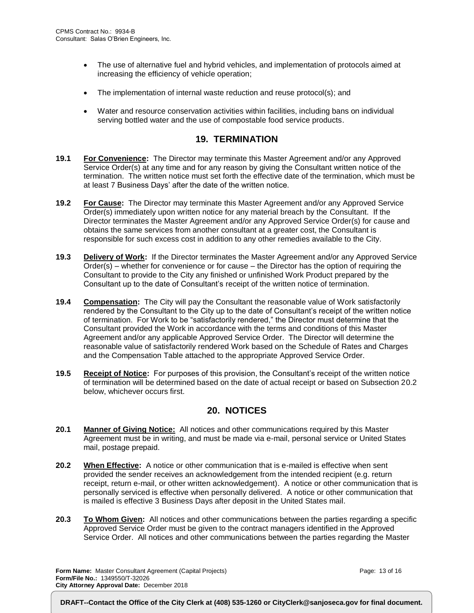- The use of alternative fuel and hybrid vehicles, and implementation of protocols aimed at increasing the efficiency of vehicle operation;
- The implementation of internal waste reduction and reuse protocol(s); and
- Water and resource conservation activities within facilities, including bans on individual serving bottled water and the use of compostable food service products.

#### **19. TERMINATION**

- **19.1 For Convenience:** The Director may terminate this Master Agreement and/or any Approved Service Order(s) at any time and for any reason by giving the Consultant written notice of the termination. The written notice must set forth the effective date of the termination, which must be at least 7 Business Days' after the date of the written notice.
- **19.2 For Cause:** The Director may terminate this Master Agreement and/or any Approved Service Order(s) immediately upon written notice for any material breach by the Consultant. If the Director terminates the Master Agreement and/or any Approved Service Order(s) for cause and obtains the same services from another consultant at a greater cost, the Consultant is responsible for such excess cost in addition to any other remedies available to the City.
- **19.3 Delivery of Work:** If the Director terminates the Master Agreement and/or any Approved Service Order(s) – whether for convenience or for cause – the Director has the option of requiring the Consultant to provide to the City any finished or unfinished Work Product prepared by the Consultant up to the date of Consultant's receipt of the written notice of termination.
- **19.4 Compensation:** The City will pay the Consultant the reasonable value of Work satisfactorily rendered by the Consultant to the City up to the date of Consultant's receipt of the written notice of termination. For Work to be "satisfactorily rendered," the Director must determine that the Consultant provided the Work in accordance with the terms and conditions of this Master Agreement and/or any applicable Approved Service Order. The Director will determine the reasonable value of satisfactorily rendered Work based on the Schedule of Rates and Charges and the Compensation Table attached to the appropriate Approved Service Order.
- **19.5 Receipt of Notice:** For purposes of this provision, the Consultant's receipt of the written notice of termination will be determined based on the date of actual receipt or based on Subsection 20.2 below, whichever occurs first.

#### **20. NOTICES**

- **20.1 Manner of Giving Notice:** All notices and other communications required by this Master Agreement must be in writing, and must be made via e-mail, personal service or United States mail, postage prepaid.
- **20.2 When Effective:** A notice or other communication that is e-mailed is effective when sent provided the sender receives an acknowledgement from the intended recipient (e.g. return receipt, return e-mail, or other written acknowledgement). A notice or other communication that is personally serviced is effective when personally delivered. A notice or other communication that is mailed is effective 3 Business Days after deposit in the United States mail.
- **20.3 To Whom Given:** All notices and other communications between the parties regarding a specific Approved Service Order must be given to the contract managers identified in the Approved Service Order. All notices and other communications between the parties regarding the Master

**Form Name:** Master Consultant Agreement (Capital Projects) **Form/File No.:** 1349550/T-32026 **City Attorney Approval Date:** December 2018

Page: 13 of 16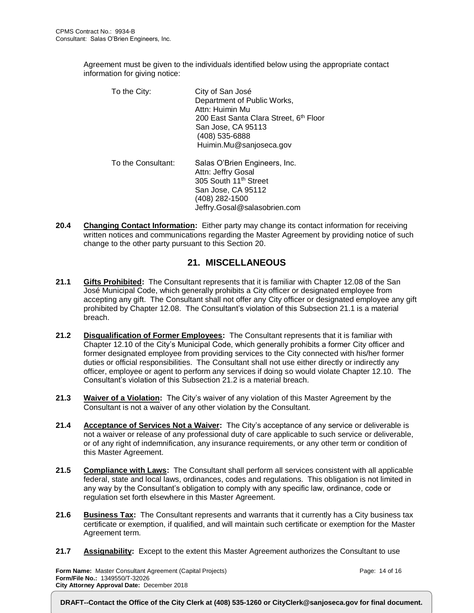Agreement must be given to the individuals identified below using the appropriate contact information for giving notice:

| To the City:       | City of San José<br>Department of Public Works,<br>Attn: Huimin Mu<br>200 East Santa Clara Street, 6 <sup>th</sup> Floor<br>San Jose, CA 95113<br>(408) 535-6888<br>Huimin.Mu@sanjoseca.gov |
|--------------------|---------------------------------------------------------------------------------------------------------------------------------------------------------------------------------------------|
| To the Consultant: | Salas O'Brien Engineers, Inc.<br>Attn: Jeffry Gosal<br>305 South 11 <sup>th</sup> Street<br>San Jose, CA 95112<br>(408) 282-1500<br>Jeffry.Gosal@salasobrien.com                            |

**20.4 Changing Contact Information:** Either party may change its contact information for receiving written notices and communications regarding the Master Agreement by providing notice of such change to the other party pursuant to this Section 20.

#### **21. MISCELLANEOUS**

- **21.1 Gifts Prohibited:** The Consultant represents that it is familiar with Chapter 12.08 of the San José Municipal Code, which generally prohibits a City officer or designated employee from accepting any gift. The Consultant shall not offer any City officer or designated employee any gift prohibited by Chapter 12.08. The Consultant's violation of this Subsection 21.1 is a material breach.
- **21.2 Disqualification of Former Employees:** The Consultant represents that it is familiar with Chapter 12.10 of the City's Municipal Code, which generally prohibits a former City officer and former designated employee from providing services to the City connected with his/her former duties or official responsibilities. The Consultant shall not use either directly or indirectly any officer, employee or agent to perform any services if doing so would violate Chapter 12.10. The Consultant's violation of this Subsection 21.2 is a material breach.
- **21.3 Waiver of a Violation:** The City's waiver of any violation of this Master Agreement by the Consultant is not a waiver of any other violation by the Consultant.
- **21.4 Acceptance of Services Not a Waiver:** The City's acceptance of any service or deliverable is not a waiver or release of any professional duty of care applicable to such service or deliverable, or of any right of indemnification, any insurance requirements, or any other term or condition of this Master Agreement.
- **21.5 Compliance with Laws:** The Consultant shall perform all services consistent with all applicable federal, state and local laws, ordinances, codes and regulations. This obligation is not limited in any way by the Consultant's obligation to comply with any specific law, ordinance, code or regulation set forth elsewhere in this Master Agreement.
- **21.6 Business Tax:** The Consultant represents and warrants that it currently has a City business tax certificate or exemption, if qualified, and will maintain such certificate or exemption for the Master Agreement term.
- **21.7 Assignability:** Except to the extent this Master Agreement authorizes the Consultant to use

**Form Name:** Master Consultant Agreement (Capital Projects) **Form/File No.:** 1349550/T-32026 **City Attorney Approval Date:** December 2018

Page: 14 of 16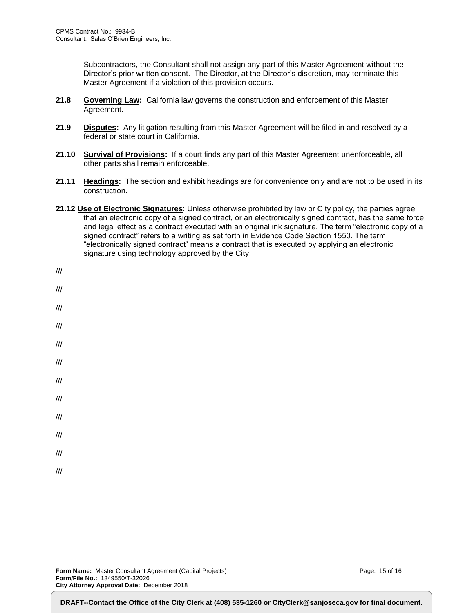Subcontractors, the Consultant shall not assign any part of this Master Agreement without the Director's prior written consent. The Director, at the Director's discretion, may terminate this Master Agreement if a violation of this provision occurs.

- **21.8 Governing Law:** California law governs the construction and enforcement of this Master Agreement.
- **21.9 Disputes:** Any litigation resulting from this Master Agreement will be filed in and resolved by a federal or state court in California.
- **21.10 Survival of Provisions:** If a court finds any part of this Master Agreement unenforceable, all other parts shall remain enforceable.
- **21.11 Headings:** The section and exhibit headings are for convenience only and are not to be used in its construction.
- **21.12 Use of Electronic Signatures**: Unless otherwise prohibited by law or City policy, the parties agree that an electronic copy of a signed contract, or an electronically signed contract, has the same force and legal effect as a contract executed with an original ink signature. The term "electronic copy of a signed contract" refers to a writing as set forth in Evidence Code Section 1550. The term "electronically signed contract" means a contract that is executed by applying an electronic signature using technology approved by the City.

| ///                     |  |  |
|-------------------------|--|--|
| $^{\prime\prime\prime}$ |  |  |
| $^{\prime\prime\prime}$ |  |  |
| $\frac{1}{2}$           |  |  |
| $^{\prime\prime\prime}$ |  |  |
|                         |  |  |
| $\frac{1}{2}$           |  |  |
| $\frac{1}{2}$           |  |  |
| $\frac{1}{2}$           |  |  |
| ///                     |  |  |
| $\frac{1}{2}$           |  |  |
|                         |  |  |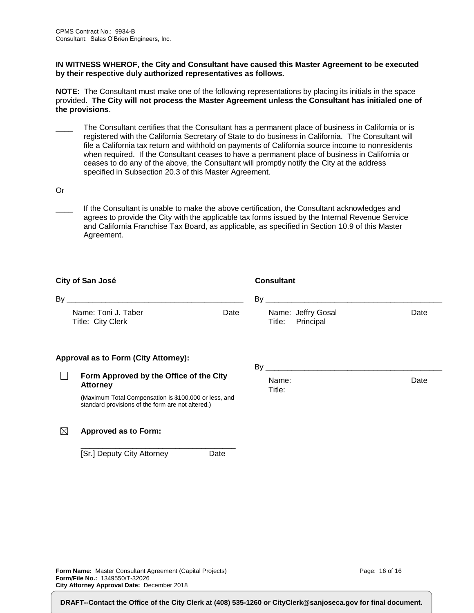#### **IN WITNESS WHEROF, the City and Consultant have caused this Master Agreement to be executed by their respective duly authorized representatives as follows.**

**NOTE:** The Consultant must make one of the following representations by placing its initials in the space provided. **The City will not process the Master Agreement unless the Consultant has initialed one of the provisions**.

- The Consultant certifies that the Consultant has a permanent place of business in California or is registered with the California Secretary of State to do business in California. The Consultant will file a California tax return and withhold on payments of California source income to nonresidents when required. If the Consultant ceases to have a permanent place of business in California or ceases to do any of the above, the Consultant will promptly notify the City at the address specified in Subsection 20.3 of this Master Agreement.
- Or
	- If the Consultant is unable to make the above certification, the Consultant acknowledges and agrees to provide the City with the applicable tax forms issued by the Internal Revenue Service and California Franchise Tax Board, as applicable, as specified in Section 10.9 of this Master Agreement.

| City of San José                                                                                           |      | <b>Consultant</b>                         |      |
|------------------------------------------------------------------------------------------------------------|------|-------------------------------------------|------|
|                                                                                                            |      |                                           |      |
| Name: Toni J. Taber<br>Title: City Clerk                                                                   | Date | Name: Jeffry Gosal<br>Principal<br>Title: | Date |
| <b>Approval as to Form (City Attorney):</b>                                                                |      | $\mathsf{By}$                             |      |
| Form Approved by the Office of the City<br><b>Attorney</b>                                                 |      | Name:<br>Title:                           | Date |
| (Maximum Total Compensation is \$100,000 or less, and<br>standard provisions of the form are not altered.) |      |                                           |      |
| M<br>Approved as to Form:                                                                                  |      |                                           |      |

\_\_\_\_\_\_\_\_\_\_\_\_\_\_\_\_\_\_\_\_\_\_\_\_\_\_\_\_\_\_\_\_\_\_\_\_ [Sr.] Deputy City Attorney Date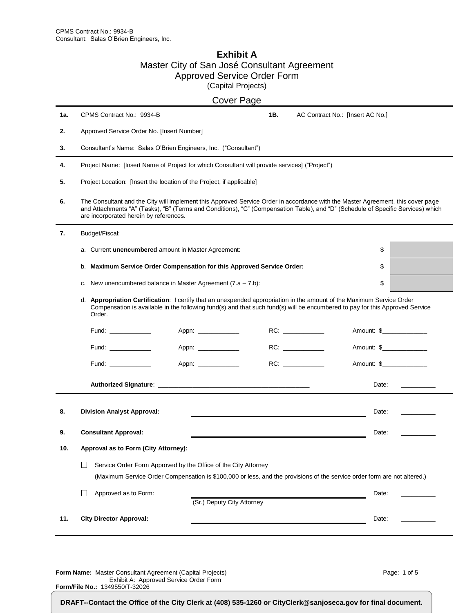#### **Exhibit A** Master City of San José Consultant Agreement Approved Service Order Form (Capital Projects)

|     |                                                                                                                                                                                                                                                                                                               |                     | <b>Cover Page</b>          |                                  |                                                                                                                                                                                                                                                                                                                                                                                                                                                      |
|-----|---------------------------------------------------------------------------------------------------------------------------------------------------------------------------------------------------------------------------------------------------------------------------------------------------------------|---------------------|----------------------------|----------------------------------|------------------------------------------------------------------------------------------------------------------------------------------------------------------------------------------------------------------------------------------------------------------------------------------------------------------------------------------------------------------------------------------------------------------------------------------------------|
| 1а. | CPMS Contract No.: 9934-B                                                                                                                                                                                                                                                                                     |                     | 1B.                        | AC Contract No.: [Insert AC No.] |                                                                                                                                                                                                                                                                                                                                                                                                                                                      |
| 2.  | Approved Service Order No. [Insert Number]                                                                                                                                                                                                                                                                    |                     |                            |                                  |                                                                                                                                                                                                                                                                                                                                                                                                                                                      |
| 3.  | Consultant's Name: Salas O'Brien Engineers, Inc. ("Consultant")                                                                                                                                                                                                                                               |                     |                            |                                  |                                                                                                                                                                                                                                                                                                                                                                                                                                                      |
| 4.  | Project Name: [Insert Name of Project for which Consultant will provide services] ("Project")                                                                                                                                                                                                                 |                     |                            |                                  |                                                                                                                                                                                                                                                                                                                                                                                                                                                      |
| 5.  | Project Location: [Insert the location of the Project, if applicable]                                                                                                                                                                                                                                         |                     |                            |                                  |                                                                                                                                                                                                                                                                                                                                                                                                                                                      |
| 6.  | The Consultant and the City will implement this Approved Service Order in accordance with the Master Agreement, this cover page<br>and Attachments "A" (Tasks), "B" (Terms and Conditions), "C" (Compensation Table), and "D" (Schedule of Specific Services) which<br>are incorporated herein by references. |                     |                            |                                  |                                                                                                                                                                                                                                                                                                                                                                                                                                                      |
| 7.  | Budget/Fiscal:                                                                                                                                                                                                                                                                                                |                     |                            |                                  |                                                                                                                                                                                                                                                                                                                                                                                                                                                      |
|     | a. Current unencumbered amount in Master Agreement:                                                                                                                                                                                                                                                           |                     |                            | \$                               |                                                                                                                                                                                                                                                                                                                                                                                                                                                      |
|     | b. Maximum Service Order Compensation for this Approved Service Order:                                                                                                                                                                                                                                        |                     |                            | \$                               |                                                                                                                                                                                                                                                                                                                                                                                                                                                      |
|     | c. New unencumbered balance in Master Agreement $(7.a - 7.b)$ :                                                                                                                                                                                                                                               |                     |                            | \$                               |                                                                                                                                                                                                                                                                                                                                                                                                                                                      |
|     | d. Appropriation Certification: I certify that an unexpended appropriation in the amount of the Maximum Service Order<br>Compensation is available in the following fund(s) and that such fund(s) will be encumbered to pay for this Approved Service<br>Order.                                               |                     |                            |                                  |                                                                                                                                                                                                                                                                                                                                                                                                                                                      |
|     | Fund: ____________                                                                                                                                                                                                                                                                                            | Appn: _____________ |                            | Amount: \$________________       |                                                                                                                                                                                                                                                                                                                                                                                                                                                      |
|     | Fund: ___________                                                                                                                                                                                                                                                                                             | Appn: _____________ |                            | Amount: \$_______________        |                                                                                                                                                                                                                                                                                                                                                                                                                                                      |
|     | Fund: _______________                                                                                                                                                                                                                                                                                         | Appn: _____________ |                            | Amount: \$______________         |                                                                                                                                                                                                                                                                                                                                                                                                                                                      |
|     |                                                                                                                                                                                                                                                                                                               |                     |                            | Date:                            | $\frac{1}{1-\frac{1}{2}}\left( \frac{1}{1-\frac{1}{2}}\right) \left( \frac{1}{1-\frac{1}{2}}\right) \left( \frac{1}{1-\frac{1}{2}}\right) \left( \frac{1}{1-\frac{1}{2}}\right) \left( \frac{1}{1-\frac{1}{2}}\right) \left( \frac{1}{1-\frac{1}{2}}\right) \left( \frac{1}{1-\frac{1}{2}}\right) \left( \frac{1}{1-\frac{1}{2}}\right) \left( \frac{1}{1-\frac{1}{2}}\right) \left( \frac{1}{1-\frac{1}{2}}\right) \left( \frac{1}{1-\frac{1}{2}}\$ |
| 8.  | <b>Division Analyst Approval:</b>                                                                                                                                                                                                                                                                             |                     |                            | Date:                            |                                                                                                                                                                                                                                                                                                                                                                                                                                                      |
| 9.  | <b>Consultant Approval:</b>                                                                                                                                                                                                                                                                                   |                     |                            | Date:                            |                                                                                                                                                                                                                                                                                                                                                                                                                                                      |
| 10. | Approval as to Form (City Attorney):                                                                                                                                                                                                                                                                          |                     |                            |                                  |                                                                                                                                                                                                                                                                                                                                                                                                                                                      |
|     | Service Order Form Approved by the Office of the City Attorney<br>ΙI                                                                                                                                                                                                                                          |                     |                            |                                  |                                                                                                                                                                                                                                                                                                                                                                                                                                                      |
|     | (Maximum Service Order Compensation is \$100,000 or less, and the provisions of the service order form are not altered.)                                                                                                                                                                                      |                     |                            |                                  |                                                                                                                                                                                                                                                                                                                                                                                                                                                      |
|     | Approved as to Form:                                                                                                                                                                                                                                                                                          |                     | (Sr.) Deputy City Attorney | Date:                            |                                                                                                                                                                                                                                                                                                                                                                                                                                                      |
| 11. | <b>City Director Approval:</b>                                                                                                                                                                                                                                                                                |                     |                            | Date:                            |                                                                                                                                                                                                                                                                                                                                                                                                                                                      |

**Form Name:** Master Consultant Agreement (Capital Projects) Exhibit A: Approved Service Order Form **Form/File No.:** 1349550/T-32026

Page: 1 of 5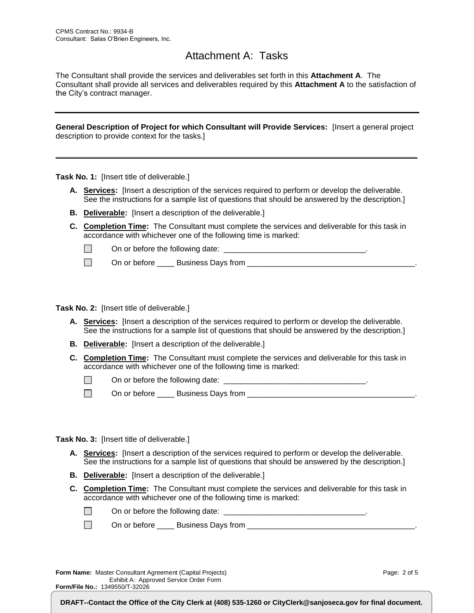### Attachment A: Tasks

The Consultant shall provide the services and deliverables set forth in this **Attachment A**. The Consultant shall provide all services and deliverables required by this **Attachment A** to the satisfaction of the City's contract manager.

**General Description of Project for which Consultant will Provide Services:** [Insert a general project description to provide context for the tasks.]

**\_\_\_\_\_\_\_\_\_\_\_\_\_\_\_\_\_\_\_\_\_\_\_\_\_\_\_\_\_\_\_\_\_\_\_\_\_\_\_\_\_\_\_\_\_\_\_\_\_\_\_\_\_\_\_\_\_\_\_\_\_\_\_\_\_\_\_\_\_\_\_\_\_\_\_\_\_\_\_\_\_\_\_\_**

**Task No. 1:** [Insert title of deliverable.]

- **A. Services:** [Insert a description of the services required to perform or develop the deliverable. See the instructions for a sample list of questions that should be answered by the description.]
- **B. Deliverable:** [Insert a description of the deliverable.]
- **C. Completion Time:** The Consultant must complete the services and deliverable for this task in accordance with whichever one of the following time is marked:

 $\Box$ On or before the following date:  $\Box$ 

On or before \_\_\_\_ Business Days from \_\_\_\_\_\_\_\_\_\_\_\_\_\_\_\_\_\_\_\_\_\_\_\_\_\_\_\_\_\_\_\_\_\_\_\_\_\_\_.  $\Box$ 

**Task No. 2:** [Insert title of deliverable.]

- **A. Services:** [Insert a description of the services required to perform or develop the deliverable. See the instructions for a sample list of questions that should be answered by the description.]
- **B. Deliverable:** [Insert a description of the deliverable.]
- **C. Completion Time:** The Consultant must complete the services and deliverable for this task in accordance with whichever one of the following time is marked:

 $\Box$ On or before the following date: \_\_\_\_\_\_\_\_\_\_\_\_\_\_\_\_\_\_\_\_\_\_\_\_\_\_\_\_\_\_\_\_\_.

 $\Box$ On or before \_\_\_\_ Business Days from \_\_\_\_\_\_\_\_\_\_\_\_\_\_\_\_\_\_\_\_\_\_\_\_\_\_\_\_\_\_\_\_\_\_\_\_\_\_\_.

**Task No. 3:** [Insert title of deliverable.]

- **A. Services:** [Insert a description of the services required to perform or develop the deliverable. See the instructions for a sample list of questions that should be answered by the description.]
- **B. Deliverable:** [Insert a description of the deliverable.]
- **C. Completion Time:** The Consultant must complete the services and deliverable for this task in accordance with whichever one of the following time is marked:

| On or before the following date: |  |
|----------------------------------|--|
|----------------------------------|--|

 $\Box$ On or before \_\_\_\_ Business Days from \_\_\_\_\_\_\_\_\_\_\_\_\_\_\_\_\_\_\_\_\_\_\_\_\_\_\_\_\_\_\_\_\_\_\_\_\_\_\_.

**Form Name:** Master Consultant Agreement (Capital Projects) Exhibit A: Approved Service Order Form **Form/File No.:** 1349550/T-32026

Page: 2 of 5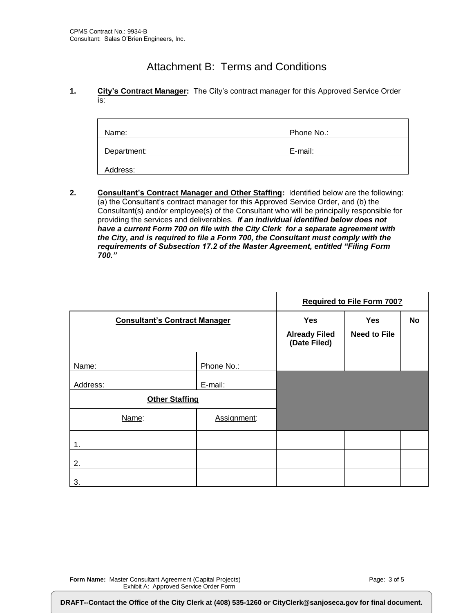## Attachment B: Terms and Conditions

#### **1. City's Contract Manager:** The City's contract manager for this Approved Service Order is:

| Name:       | Phone No.: |
|-------------|------------|
| Department: | E-mail:    |
| Address:    |            |

**2. Consultant's Contract Manager and Other Staffing:** Identified below are the following: (a) the Consultant's contract manager for this Approved Service Order, and (b) the Consultant(s) and/or employee(s) of the Consultant who will be principally responsible for providing the services and deliverables. *If an individual identified below does not have a current Form 700 on file with the City Clerk for a separate agreement with the City, and is required to file a Form 700, the Consultant must comply with the requirements of Subsection 17.2 of the Master Agreement, entitled "Filing Form 700."*

|                                      |             |                                                    | <b>Required to File Form 700?</b> |    |
|--------------------------------------|-------------|----------------------------------------------------|-----------------------------------|----|
| <b>Consultant's Contract Manager</b> |             | <b>Yes</b><br><b>Already Filed</b><br>(Date Filed) | <b>Yes</b><br><b>Need to File</b> | No |
| Name:                                | Phone No.:  |                                                    |                                   |    |
| Address:                             | E-mail:     |                                                    |                                   |    |
| <b>Other Staffing</b>                |             |                                                    |                                   |    |
| Name:                                | Assignment: |                                                    |                                   |    |
| 1.                                   |             |                                                    |                                   |    |
| 2.                                   |             |                                                    |                                   |    |
| 3.                                   |             |                                                    |                                   |    |

**Form Name:** Master Consultant Agreement (Capital Projects) Exhibit A: Approved Service Order Form

**Form/File No.:** 1349550/T-32026

DRAFT--Contact the Office of the City Clerk at (408) 535-1260 or CityClerk@sanjoseca.gov for final document.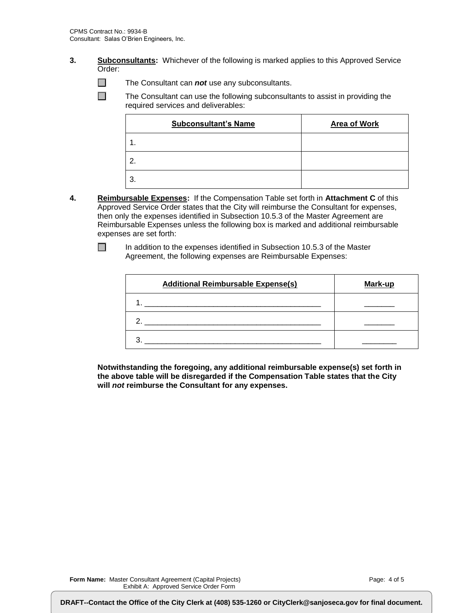- **3. Subconsultants:** Whichever of the following is marked applies to this Approved Service Order:
	- $\Box$ The Consultant can *not* use any subconsultants.

 $\Box$ The Consultant can use the following subconsultants to assist in providing the required services and deliverables:

| <b>Subconsultant's Name</b> | <b>Area of Work</b> |
|-----------------------------|---------------------|
| 1.                          |                     |
| 2.                          |                     |
| 3.                          |                     |

**4. Reimbursable Expenses:** If the Compensation Table set forth in **Attachment C** of this Approved Service Order states that the City will reimburse the Consultant for expenses, then only the expenses identified in Subsection 10.5.3 of the Master Agreement are Reimbursable Expenses unless the following box is marked and additional reimbursable expenses are set forth:

In addition to the expenses identified in Subsection 10.5.3 of the Master Agreement, the following expenses are Reimbursable Expenses:

| <b>Additional Reimbursable Expense(s)</b> | Mark-up |
|-------------------------------------------|---------|
|                                           |         |
|                                           |         |
|                                           |         |

**Notwithstanding the foregoing, any additional reimbursable expense(s) set forth in the above table will be disregarded if the Compensation Table states that the City will** *not* **reimburse the Consultant for any expenses.**

**Form/File No.:** 1349550/T-32026

 $\Box$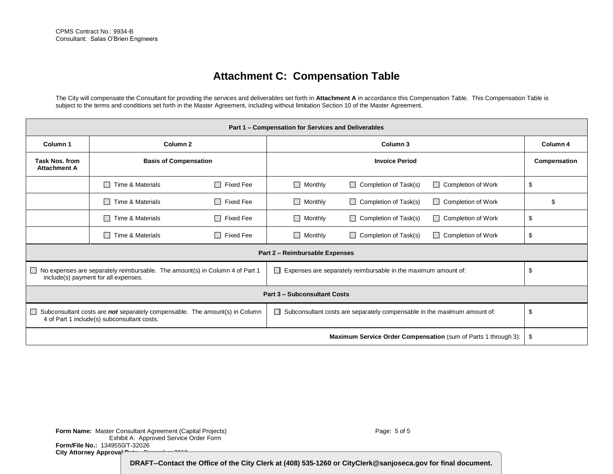## **Attachment C: Compensation Table**

The City will compensate the Consultant for providing the services and deliverables set forth in **Attachment A** in accordance this Compensation Table. This Compensation Table is subject to the terms and conditions set forth in the Master Agreement, including without limitation Section 10 of the Master Agreement.

| Part 1 - Compensation for Services and Deliverables                                                                                  |                              |                            |                                |                                                                          |                                                                |              |
|--------------------------------------------------------------------------------------------------------------------------------------|------------------------------|----------------------------|--------------------------------|--------------------------------------------------------------------------|----------------------------------------------------------------|--------------|
| Column <sub>2</sub><br>Column <sub>1</sub>                                                                                           |                              | Column 3                   |                                |                                                                          | Column 4                                                       |              |
| <b>Task Nos. from</b><br><b>Attachment A</b>                                                                                         | <b>Basis of Compensation</b> |                            | <b>Invoice Period</b>          |                                                                          |                                                                | Compensation |
|                                                                                                                                      | $\Box$ Time & Materials      | П<br>Fixed Fee             | $\Box$ Monthly                 | $\Box$<br>Completion of Task(s)                                          | Completion of Work                                             | \$           |
|                                                                                                                                      | $\Box$ Time & Materials      | П<br>Fixed Fee             | $\Box$ Monthly                 | $\Box$ Completion of Task(s)                                             | $\Box$ Completion of Work                                      | \$           |
|                                                                                                                                      | $\Box$ Time & Materials      | $\Box$<br><b>Fixed Fee</b> | $\Box$ Monthly                 | $\Box$<br>Completion of Task(s)                                          | $\Box$ Completion of Work                                      | \$           |
|                                                                                                                                      | Time & Materials<br>$\Box$   | Fixed Fee<br>П             | $\Box$ Monthly                 | Completion of Task(s)<br>$\Box$                                          | <b>Completion of Work</b>                                      | \$           |
|                                                                                                                                      |                              |                            | Part 2 - Reimbursable Expenses |                                                                          |                                                                |              |
| $\Box$ No expenses are separately reimbursable. The amount(s) in Column 4 of Part 1<br>include(s) payment for all expenses.          |                              |                            | $\mathsf{L}$                   | Expenses are separately reimbursable in the maximum amount of:           |                                                                | \$           |
| <b>Part 3 - Subconsultant Costs</b>                                                                                                  |                              |                            |                                |                                                                          |                                                                |              |
| Subconsultant costs are not separately compensable. The amount(s) in Column<br>$\sim$<br>4 of Part 1 include(s) subconsultant costs. |                              |                            | $\Box$                         | Subconsultant costs are separately compensable in the maximum amount of: |                                                                | \$           |
|                                                                                                                                      |                              |                            |                                |                                                                          | Maximum Service Order Compensation (sum of Parts 1 through 3): | \$           |

**Form Name:** Master Consultant Agreement (Capital Projects) Exhibit A: Approved Service Order Form **Form/File No.:** 1349550/T-32026 City Attorney Approval **Date:** December 2019

Page: 5 of 5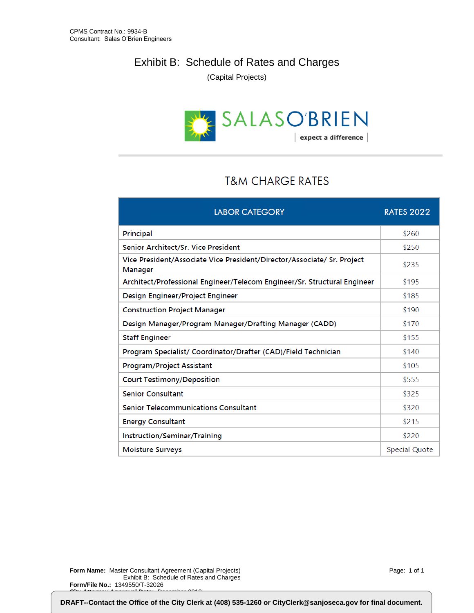### Exhibit B: Schedule of Rates and Charges

(Capital Projects)



## **T&M CHARGE RATES**

| <b>LABOR CATEGORY</b>                                                                     | <b>RATES 2022</b> |
|-------------------------------------------------------------------------------------------|-------------------|
| Principal                                                                                 | \$260             |
| Senior Architect/Sr. Vice President                                                       | \$250             |
| Vice President/Associate Vice President/Director/Associate/ Sr. Project<br><b>Manager</b> | \$235             |
| Architect/Professional Engineer/Telecom Engineer/Sr. Structural Engineer                  | \$195             |
| Design Engineer/Project Engineer                                                          | \$185             |
| <b>Construction Project Manager</b>                                                       | \$190             |
| Design Manager/Program Manager/Drafting Manager (CADD)                                    | \$170             |
| <b>Staff Engineer</b>                                                                     | \$155             |
| Program Specialist/ Coordinator/Drafter (CAD)/Field Technician                            | \$140             |
| <b>Program/Project Assistant</b>                                                          | \$105             |
| <b>Court Testimony/Deposition</b>                                                         | \$555             |
| <b>Senior Consultant</b>                                                                  | \$325             |
| <b>Senior Telecommunications Consultant</b>                                               | \$320             |
| <b>Energy Consultant</b>                                                                  | \$215             |
| Instruction/Seminar/Training                                                              | \$220             |
| <b>Moisture Surveys</b>                                                                   | Special Quote     |

**Form Name:** Master Consultant Agreement (Capital Projects) Exhibit B: Schedule of Rates and Charges **Form/File No.:** 1349550/T-32026 **City Attorney Approval Date:** December 2018

Page: 1 of 1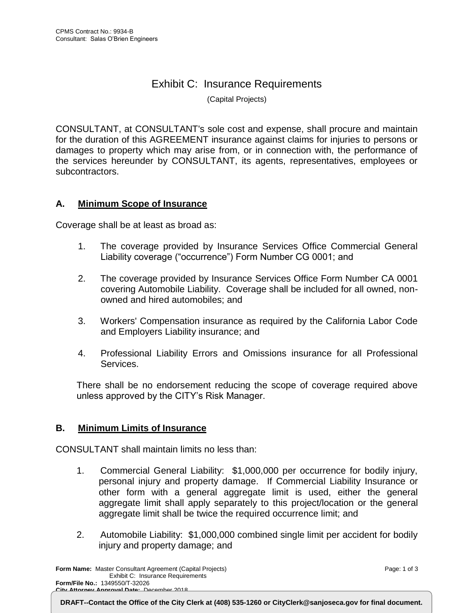# Exhibit C: Insurance Requirements

(Capital Projects)

CONSULTANT, at CONSULTANT's sole cost and expense, shall procure and maintain for the duration of this AGREEMENT insurance against claims for injuries to persons or damages to property which may arise from, or in connection with, the performance of the services hereunder by CONSULTANT, its agents, representatives, employees or subcontractors.

#### **A. Minimum Scope of Insurance**

Coverage shall be at least as broad as:

- 1. The coverage provided by Insurance Services Office Commercial General Liability coverage ("occurrence") Form Number CG 0001; and
- 2. The coverage provided by Insurance Services Office Form Number CA 0001 covering Automobile Liability. Coverage shall be included for all owned, nonowned and hired automobiles; and
- 3. Workers' Compensation insurance as required by the California Labor Code and Employers Liability insurance; and
- 4. Professional Liability Errors and Omissions insurance for all Professional Services.

There shall be no endorsement reducing the scope of coverage required above unless approved by the CITY's Risk Manager.

#### **B. Minimum Limits of Insurance**

CONSULTANT shall maintain limits no less than:

- 1. Commercial General Liability: \$1,000,000 per occurrence for bodily injury, personal injury and property damage. If Commercial Liability Insurance or other form with a general aggregate limit is used, either the general aggregate limit shall apply separately to this project/location or the general aggregate limit shall be twice the required occurrence limit; and
- 2. Automobile Liability: \$1,000,000 combined single limit per accident for bodily injury and property damage; and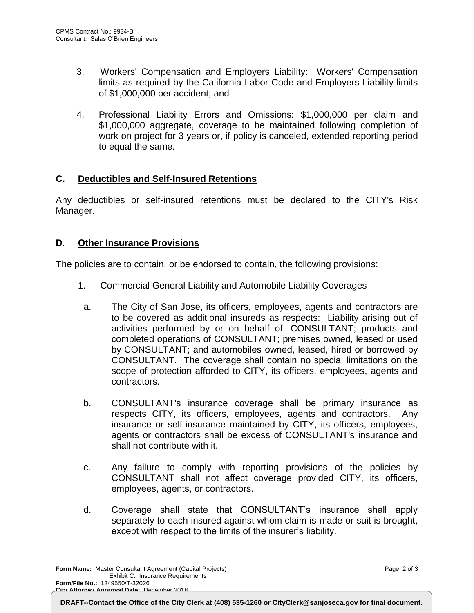- 3. Workers' Compensation and Employers Liability: Workers' Compensation limits as required by the California Labor Code and Employers Liability limits of \$1,000,000 per accident; and
- 4. Professional Liability Errors and Omissions: \$1,000,000 per claim and \$1,000,000 aggregate, coverage to be maintained following completion of work on project for 3 years or, if policy is canceled, extended reporting period to equal the same.

#### **C. Deductibles and Self-Insured Retentions**

Any deductibles or self-insured retentions must be declared to the CITY's Risk Manager.

#### **D**. **Other Insurance Provisions**

The policies are to contain, or be endorsed to contain, the following provisions:

- 1. Commercial General Liability and Automobile Liability Coverages
	- a. The City of San Jose, its officers, employees, agents and contractors are to be covered as additional insureds as respects: Liability arising out of activities performed by or on behalf of, CONSULTANT; products and completed operations of CONSULTANT; premises owned, leased or used by CONSULTANT; and automobiles owned, leased, hired or borrowed by CONSULTANT. The coverage shall contain no special limitations on the scope of protection afforded to CITY, its officers, employees, agents and contractors.
	- b. CONSULTANT's insurance coverage shall be primary insurance as respects CITY, its officers, employees, agents and contractors. Any insurance or self-insurance maintained by CITY, its officers, employees, agents or contractors shall be excess of CONSULTANT's insurance and shall not contribute with it.
	- c. Any failure to comply with reporting provisions of the policies by CONSULTANT shall not affect coverage provided CITY, its officers, employees, agents, or contractors.
	- d. Coverage shall state that CONSULTANT's insurance shall apply separately to each insured against whom claim is made or suit is brought, except with respect to the limits of the insurer's liability.